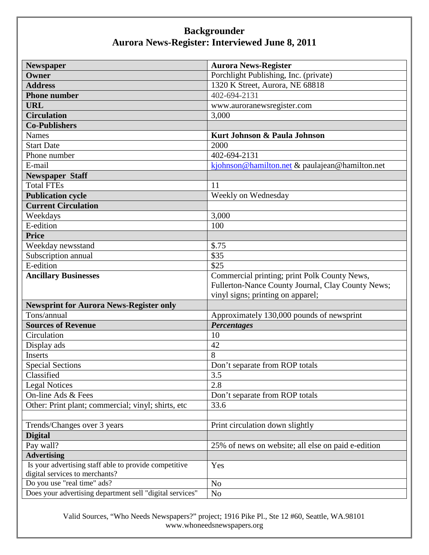| <b>Newspaper</b>                                         | <b>Aurora News-Register</b>                        |
|----------------------------------------------------------|----------------------------------------------------|
| Owner                                                    | Porchlight Publishing, Inc. (private)              |
| <b>Address</b>                                           | 1320 K Street, Aurora, NE 68818                    |
| <b>Phone number</b>                                      | 402-694-2131                                       |
| <b>URL</b>                                               | www.auroranewsregister.com                         |
| <b>Circulation</b>                                       | 3,000                                              |
| <b>Co-Publishers</b>                                     |                                                    |
| <b>Names</b>                                             | Kurt Johnson & Paula Johnson                       |
| <b>Start Date</b>                                        | 2000                                               |
| Phone number                                             | 402-694-2131                                       |
| E-mail                                                   | kjohnson@hamilton.net & paulajean@hamilton.net     |
| <b>Newspaper Staff</b>                                   |                                                    |
| <b>Total FTEs</b>                                        | 11                                                 |
| <b>Publication cycle</b>                                 | Weekly on Wednesday                                |
| <b>Current Circulation</b>                               |                                                    |
| Weekdays                                                 | 3,000                                              |
| E-edition                                                | 100                                                |
| <b>Price</b>                                             |                                                    |
| Weekday newsstand                                        | \$.75                                              |
| Subscription annual                                      | \$35                                               |
| E-edition                                                | \$25                                               |
| <b>Ancillary Businesses</b>                              | Commercial printing; print Polk County News,       |
|                                                          | Fullerton-Nance County Journal, Clay County News;  |
|                                                          | vinyl signs; printing on apparel;                  |
| <b>Newsprint for Aurora News-Register only</b>           |                                                    |
| Tons/annual                                              | Approximately 130,000 pounds of newsprint          |
| <b>Sources of Revenue</b>                                | <b>Percentages</b>                                 |
| Circulation                                              | 10                                                 |
| Display ads                                              | 42                                                 |
| <b>Inserts</b>                                           | 8                                                  |
| <b>Special Sections</b>                                  | Don't separate from ROP totals                     |
| Classified                                               | $\overline{3.5}$                                   |
| <b>Legal Notices</b>                                     | 2.8                                                |
| On-line Ads & Fees                                       | Don't separate from ROP totals                     |
| Other: Print plant; commercial; vinyl; shirts, etc       | 33.6                                               |
|                                                          |                                                    |
| Trends/Changes over 3 years                              | Print circulation down slightly                    |
| <b>Digital</b>                                           |                                                    |
| Pay wall?                                                | 25% of news on website; all else on paid e-edition |
| <b>Advertising</b>                                       |                                                    |
| Is your advertising staff able to provide competitive    | Yes                                                |
| digital services to merchants?                           |                                                    |
| Do you use "real time" ads?                              | N <sub>o</sub>                                     |
| Does your advertising department sell "digital services" | N <sub>o</sub>                                     |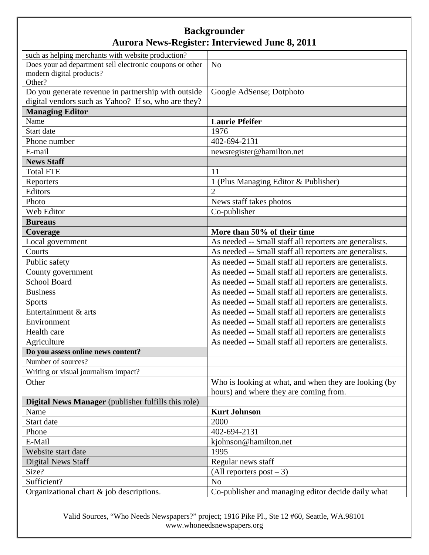| such as helping merchants with website production?         |                                                         |
|------------------------------------------------------------|---------------------------------------------------------|
| Does your ad department sell electronic coupons or other   | N <sub>o</sub>                                          |
| modern digital products?                                   |                                                         |
| Other?                                                     |                                                         |
| Do you generate revenue in partnership with outside        | Google AdSense; Dotphoto                                |
| digital vendors such as Yahoo? If so, who are they?        |                                                         |
| <b>Managing Editor</b>                                     |                                                         |
| Name                                                       | <b>Laurie Pfeifer</b>                                   |
| Start date                                                 | 1976                                                    |
| Phone number                                               | 402-694-2131                                            |
| E-mail                                                     | newsregister@hamilton.net                               |
| <b>News Staff</b>                                          |                                                         |
| <b>Total FTE</b>                                           | 11                                                      |
| Reporters                                                  | 1 (Plus Managing Editor & Publisher)                    |
| Editors                                                    | $\overline{2}$                                          |
| Photo                                                      | News staff takes photos                                 |
| Web Editor                                                 | Co-publisher                                            |
| <b>Bureaus</b>                                             |                                                         |
| Coverage                                                   | More than 50% of their time                             |
| Local government                                           | As needed -- Small staff all reporters are generalists. |
| Courts                                                     | As needed -- Small staff all reporters are generalists. |
| Public safety                                              | As needed -- Small staff all reporters are generalists. |
| County government                                          | As needed -- Small staff all reporters are generalists. |
| <b>School Board</b>                                        | As needed -- Small staff all reporters are generalists. |
| <b>Business</b>                                            | As needed -- Small staff all reporters are generalists. |
| <b>Sports</b>                                              | As needed -- Small staff all reporters are generalists. |
| Entertainment & arts                                       | As needed -- Small staff all reporters are generalists  |
| Environment                                                | As needed -- Small staff all reporters are generalists  |
| Health care                                                | As needed -- Small staff all reporters are generalists  |
| Agriculture                                                | As needed -- Small staff all reporters are generalists. |
| Do you assess online news content?                         |                                                         |
| Number of sources?                                         |                                                         |
| Writing or visual journalism impact?                       |                                                         |
| Other                                                      | Who is looking at what, and when they are looking (by   |
|                                                            | hours) and where they are coming from.                  |
| <b>Digital News Manager</b> (publisher fulfills this role) |                                                         |
| Name                                                       | <b>Kurt Johnson</b>                                     |
| Start date                                                 | 2000                                                    |
| Phone                                                      | 402-694-2131                                            |
| E-Mail                                                     | kjohnson@hamilton.net                                   |
| Website start date                                         | 1995                                                    |
| <b>Digital News Staff</b>                                  | Regular news staff                                      |
| Size?                                                      | (All reporters post $-3$ )                              |
| Sufficient?                                                | No                                                      |
| Organizational chart & job descriptions.                   | Co-publisher and managing editor decide daily what      |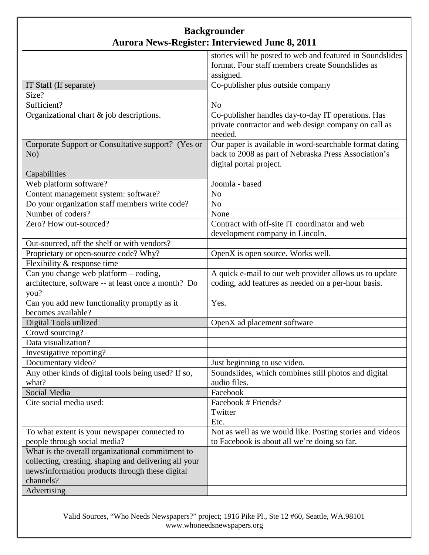|                                                       | stories will be posted to web and featured in Soundslides |
|-------------------------------------------------------|-----------------------------------------------------------|
|                                                       | format. Four staff members create Soundslides as          |
|                                                       | assigned.                                                 |
| IT Staff (If separate)                                | Co-publisher plus outside company                         |
| Size?                                                 |                                                           |
| Sufficient?                                           | N <sub>o</sub>                                            |
| Organizational chart & job descriptions.              | Co-publisher handles day-to-day IT operations. Has        |
|                                                       | private contractor and web design company on call as      |
|                                                       | needed.                                                   |
| Corporate Support or Consultative support? (Yes or    | Our paper is available in word-searchable format dating   |
| No)                                                   | back to 2008 as part of Nebraska Press Association's      |
|                                                       | digital portal project.                                   |
| Capabilities                                          |                                                           |
| Web platform software?                                | Joomla - based                                            |
| Content management system: software?                  | N <sub>o</sub>                                            |
| Do your organization staff members write code?        | N <sub>o</sub>                                            |
| Number of coders?                                     | None                                                      |
| Zero? How out-sourced?                                | Contract with off-site IT coordinator and web             |
|                                                       | development company in Lincoln.                           |
| Out-sourced, off the shelf or with vendors?           |                                                           |
| Proprietary or open-source code? Why?                 | OpenX is open source. Works well.                         |
| Flexibility & response time                           |                                                           |
| Can you change web platform - coding,                 | A quick e-mail to our web provider allows us to update    |
| architecture, software -- at least once a month? Do   | coding, add features as needed on a per-hour basis.       |
| you?                                                  |                                                           |
| Can you add new functionality promptly as it          | Yes.                                                      |
| becomes available?                                    |                                                           |
| Digital Tools utilized                                | OpenX ad placement software                               |
| Crowd sourcing?                                       |                                                           |
| Data visualization?                                   |                                                           |
| Investigative reporting?                              |                                                           |
| Documentary video?                                    | Just beginning to use video.                              |
| Any other kinds of digital tools being used? If so,   | Soundslides, which combines still photos and digital      |
| what?                                                 | audio files.                                              |
| Social Media                                          | Facebook                                                  |
| Cite social media used:                               | Facebook # Friends?                                       |
|                                                       | Twitter                                                   |
|                                                       | Etc.                                                      |
| To what extent is your newspaper connected to         | Not as well as we would like. Posting stories and videos  |
| people through social media?                          | to Facebook is about all we're doing so far.              |
| What is the overall organizational commitment to      |                                                           |
| collecting, creating, shaping and delivering all your |                                                           |
| news/information products through these digital       |                                                           |
| channels?                                             |                                                           |
| Advertising                                           |                                                           |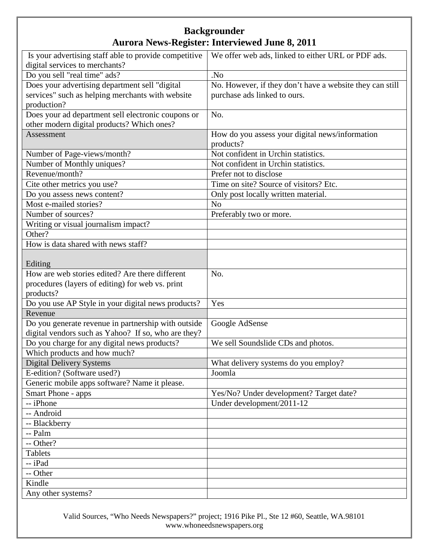| Is your advertising staff able to provide competitive | We offer web ads, linked to either URL or PDF ads.       |
|-------------------------------------------------------|----------------------------------------------------------|
| digital services to merchants?                        |                                                          |
| Do you sell "real time" ads?                          | .No                                                      |
| Does your advertising department sell "digital        | No. However, if they don't have a website they can still |
| services" such as helping merchants with website      | purchase ads linked to ours.                             |
| production?                                           |                                                          |
| Does your ad department sell electronic coupons or    | No.                                                      |
| other modern digital products? Which ones?            |                                                          |
| Assessment                                            | How do you assess your digital news/information          |
|                                                       | products?                                                |
| Number of Page-views/month?                           | Not confident in Urchin statistics.                      |
| Number of Monthly uniques?                            | Not confident in Urchin statistics.                      |
| Revenue/month?                                        | Prefer not to disclose                                   |
| Cite other metrics you use?                           | Time on site? Source of visitors? Etc.                   |
| Do you assess news content?                           | Only post locally written material.                      |
| Most e-mailed stories?                                | N <sub>o</sub>                                           |
| Number of sources?                                    | Preferably two or more.                                  |
| Writing or visual journalism impact?                  |                                                          |
| Other?                                                |                                                          |
| How is data shared with news staff?                   |                                                          |
|                                                       |                                                          |
| Editing                                               |                                                          |
| How are web stories edited? Are there different       | No.                                                      |
| procedures (layers of editing) for web vs. print      |                                                          |
| products?                                             |                                                          |
| Do you use AP Style in your digital news products?    | Yes                                                      |
| Revenue                                               |                                                          |
| Do you generate revenue in partnership with outside   | Google AdSense                                           |
| digital vendors such as Yahoo? If so, who are they?   |                                                          |
| Do you charge for any digital news products?          | We sell Soundslide CDs and photos.                       |
| Which products and how much?                          |                                                          |
| <b>Digital Delivery Systems</b>                       | What delivery systems do you employ?                     |
| E-edition? (Software used?)                           | Joomla                                                   |
| Generic mobile apps software? Name it please.         |                                                          |
| Smart Phone - apps                                    | Yes/No? Under development? Target date?                  |
| -- iPhone                                             | Under development/2011-12                                |
| -- Android                                            |                                                          |
| -- Blackberry                                         |                                                          |
| -- Palm                                               |                                                          |
| -- Other?                                             |                                                          |
| Tablets                                               |                                                          |
| -- iPad                                               |                                                          |
| -- Other                                              |                                                          |
| Kindle                                                |                                                          |
| Any other systems?                                    |                                                          |